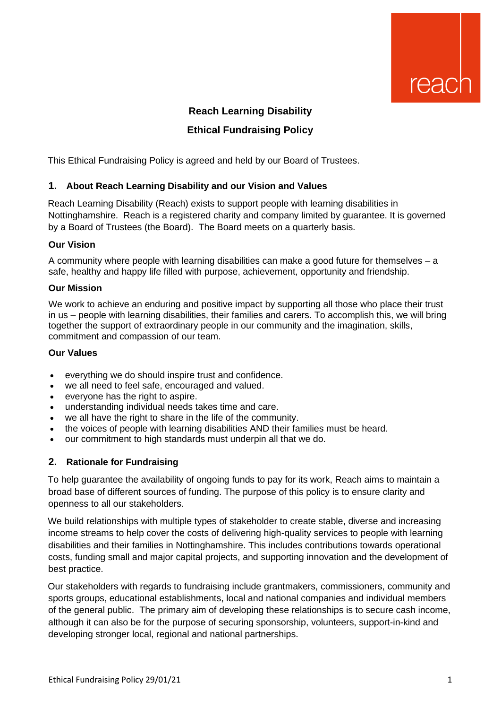

# **Reach Learning Disability Ethical Fundraising Policy**

This Ethical Fundraising Policy is agreed and held by our Board of Trustees.

#### **1. About Reach Learning Disability and our Vision and Values**

Reach Learning Disability (Reach) exists to support people with learning disabilities in Nottinghamshire. Reach is a registered charity and company limited by guarantee. It is governed by a Board of Trustees (the Board). The Board meets on a quarterly basis.

#### **Our Vision**

A community where people with learning disabilities can make a good future for themselves – a safe, healthy and happy life filled with purpose, achievement, opportunity and friendship.

#### **Our Mission**

We work to achieve an enduring and positive impact by supporting all those who place their trust in us – people with learning disabilities, their families and carers. To accomplish this, we will bring together the support of extraordinary people in our community and the imagination, skills, commitment and compassion of our team.

#### **Our Values**

- everything we do should inspire trust and confidence.
- we all need to feel safe, encouraged and valued.
- everyone has the right to aspire.
- understanding individual needs takes time and care.
- we all have the right to share in the life of the community.
- the voices of people with learning disabilities AND their families must be heard.
- our commitment to high standards must underpin all that we do.

#### **2. Rationale for Fundraising**

To help guarantee the availability of ongoing funds to pay for its work, Reach aims to maintain a broad base of different sources of funding. The purpose of this policy is to ensure clarity and openness to all our stakeholders.

We build relationships with multiple types of stakeholder to create stable, diverse and increasing income streams to help cover the costs of delivering high-quality services to people with learning disabilities and their families in Nottinghamshire. This includes contributions towards operational costs, funding small and major capital projects, and supporting innovation and the development of best practice.

Our stakeholders with regards to fundraising include grantmakers, commissioners, community and sports groups, educational establishments, local and national companies and individual members of the general public. The primary aim of developing these relationships is to secure cash income, although it can also be for the purpose of securing sponsorship, volunteers, support-in-kind and developing stronger local, regional and national partnerships.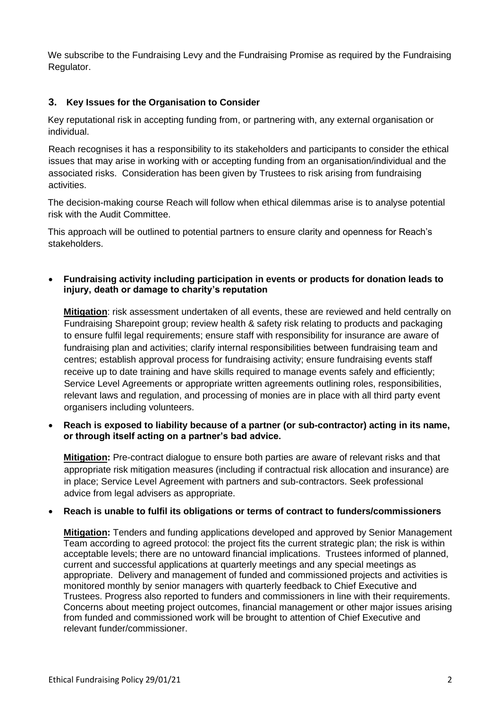We subscribe to the Fundraising Levy and the Fundraising Promise as required by the Fundraising Regulator.

## **3. Key Issues for the Organisation to Consider**

Key reputational risk in accepting funding from, or partnering with, any external organisation or individual.

Reach recognises it has a responsibility to its stakeholders and participants to consider the ethical issues that may arise in working with or accepting funding from an organisation/individual and the associated risks. Consideration has been given by Trustees to risk arising from fundraising activities.

The decision-making course Reach will follow when ethical dilemmas arise is to analyse potential risk with the Audit Committee.

This approach will be outlined to potential partners to ensure clarity and openness for Reach's stakeholders.

• **Fundraising activity including participation in events or products for donation leads to injury, death or damage to charity's reputation**

**Mitigation**: risk assessment undertaken of all events, these are reviewed and held centrally on Fundraising Sharepoint group; review health & safety risk relating to products and packaging to ensure fulfil legal requirements; ensure staff with responsibility for insurance are aware of fundraising plan and activities; clarify internal responsibilities between fundraising team and centres; establish approval process for fundraising activity; ensure fundraising events staff receive up to date training and have skills required to manage events safely and efficiently; Service Level Agreements or appropriate written agreements outlining roles, responsibilities, relevant laws and regulation, and processing of monies are in place with all third party event organisers including volunteers.

• **Reach is exposed to liability because of a partner (or sub-contractor) acting in its name, or through itself acting on a partner's bad advice.** 

**Mitigation:** Pre-contract dialogue to ensure both parties are aware of relevant risks and that appropriate risk mitigation measures (including if contractual risk allocation and insurance) are in place; Service Level Agreement with partners and sub-contractors. Seek professional advice from legal advisers as appropriate.

#### • **Reach is unable to fulfil its obligations or terms of contract to funders/commissioners**

**Mitigation:** Tenders and funding applications developed and approved by Senior Management Team according to agreed protocol: the project fits the current strategic plan; the risk is within acceptable levels; there are no untoward financial implications. Trustees informed of planned, current and successful applications at quarterly meetings and any special meetings as appropriate. Delivery and management of funded and commissioned projects and activities is monitored monthly by senior managers with quarterly feedback to Chief Executive and Trustees. Progress also reported to funders and commissioners in line with their requirements. Concerns about meeting project outcomes, financial management or other major issues arising from funded and commissioned work will be brought to attention of Chief Executive and relevant funder/commissioner.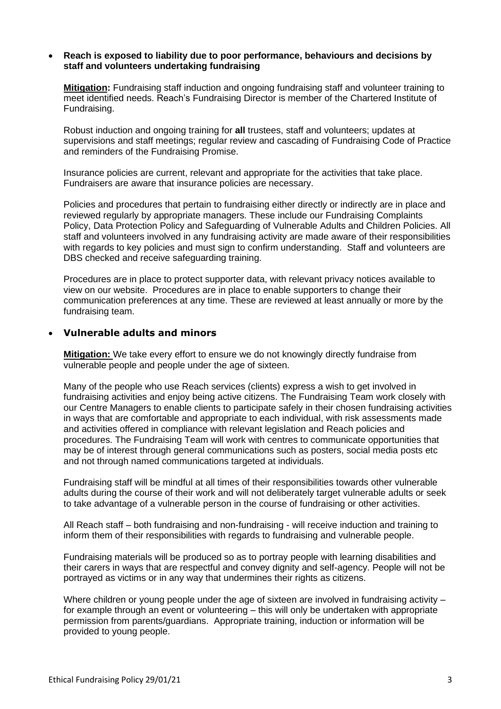#### • **Reach is exposed to liability due to poor performance, behaviours and decisions by staff and volunteers undertaking fundraising**

**Mitigation:** Fundraising staff induction and ongoing fundraising staff and volunteer training to meet identified needs. Reach's Fundraising Director is member of the Chartered Institute of Fundraising.

Robust induction and ongoing training for **all** trustees, staff and volunteers; updates at supervisions and staff meetings; regular review and cascading of Fundraising Code of Practice and reminders of the Fundraising Promise.

Insurance policies are current, relevant and appropriate for the activities that take place. Fundraisers are aware that insurance policies are necessary.

Policies and procedures that pertain to fundraising either directly or indirectly are in place and reviewed regularly by appropriate managers. These include our Fundraising Complaints Policy, Data Protection Policy and Safeguarding of Vulnerable Adults and Children Policies. All staff and volunteers involved in any fundraising activity are made aware of their responsibilities with regards to key policies and must sign to confirm understanding. Staff and volunteers are DBS checked and receive safeguarding training.

Procedures are in place to protect supporter data, with relevant privacy notices available to view on our website. Procedures are in place to enable supporters to change their communication preferences at any time. These are reviewed at least annually or more by the fundraising team.

#### • **Vulnerable adults and minors**

**Mitigation:** We take every effort to ensure we do not knowingly directly fundraise from vulnerable people and people under the age of sixteen.

Many of the people who use Reach services (clients) express a wish to get involved in fundraising activities and enjoy being active citizens. The Fundraising Team work closely with our Centre Managers to enable clients to participate safely in their chosen fundraising activities in ways that are comfortable and appropriate to each individual, with risk assessments made and activities offered in compliance with relevant legislation and Reach policies and procedures. The Fundraising Team will work with centres to communicate opportunities that may be of interest through general communications such as posters, social media posts etc and not through named communications targeted at individuals.

Fundraising staff will be mindful at all times of their responsibilities towards other vulnerable adults during the course of their work and will not deliberately target vulnerable adults or seek to take advantage of a vulnerable person in the course of fundraising or other activities.

All Reach staff – both fundraising and non-fundraising - will receive induction and training to inform them of their responsibilities with regards to fundraising and vulnerable people.

Fundraising materials will be produced so as to portray people with learning disabilities and their carers in ways that are respectful and convey dignity and self-agency. People will not be portrayed as victims or in any way that undermines their rights as citizens.

Where children or young people under the age of sixteen are involved in fundraising activity – for example through an event or volunteering – this will only be undertaken with appropriate permission from parents/guardians. Appropriate training, induction or information will be provided to young people.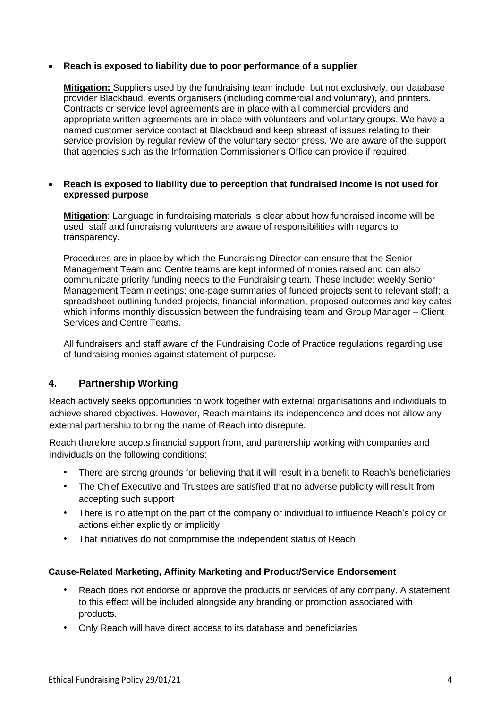### • **Reach is exposed to liability due to poor performance of a supplier**

**Mitigation:** Suppliers used by the fundraising team include, but not exclusively, our database provider Blackbaud, events organisers (including commercial and voluntary), and printers. Contracts or service level agreements are in place with all commercial providers and appropriate written agreements are in place with volunteers and voluntary groups. We have a named customer service contact at Blackbaud and keep abreast of issues relating to their service provision by regular review of the voluntary sector press. We are aware of the support that agencies such as the Information Commissioner's Office can provide if required.

#### • **Reach is exposed to liability due to perception that fundraised income is not used for expressed purpose**

**Mitigation**: Language in fundraising materials is clear about how fundraised income will be used; staff and fundraising volunteers are aware of responsibilities with regards to transparency.

Procedures are in place by which the Fundraising Director can ensure that the Senior Management Team and Centre teams are kept informed of monies raised and can also communicate priority funding needs to the Fundraising team. These include: weekly Senior Management Team meetings; one-page summaries of funded projects sent to relevant staff; a spreadsheet outlining funded projects, financial information, proposed outcomes and key dates which informs monthly discussion between the fundraising team and Group Manager – Client Services and Centre Teams.

All fundraisers and staff aware of the Fundraising Code of Practice regulations regarding use of fundraising monies against statement of purpose.

## **4. Partnership Working**

Reach actively seeks opportunities to work together with external organisations and individuals to achieve shared objectives. However, Reach maintains its independence and does not allow any external partnership to bring the name of Reach into disrepute.

Reach therefore accepts financial support from, and partnership working with companies and individuals on the following conditions:

- There are strong grounds for believing that it will result in a benefit to Reach's beneficiaries
- The Chief Executive and Trustees are satisfied that no adverse publicity will result from accepting such support
- There is no attempt on the part of the company or individual to influence Reach's policy or actions either explicitly or implicitly
- That initiatives do not compromise the independent status of Reach

#### **Cause-Related Marketing, Affinity Marketing and Product/Service Endorsement**

- Reach does not endorse or approve the products or services of any company. A statement to this effect will be included alongside any branding or promotion associated with products.
- Only Reach will have direct access to its database and beneficiaries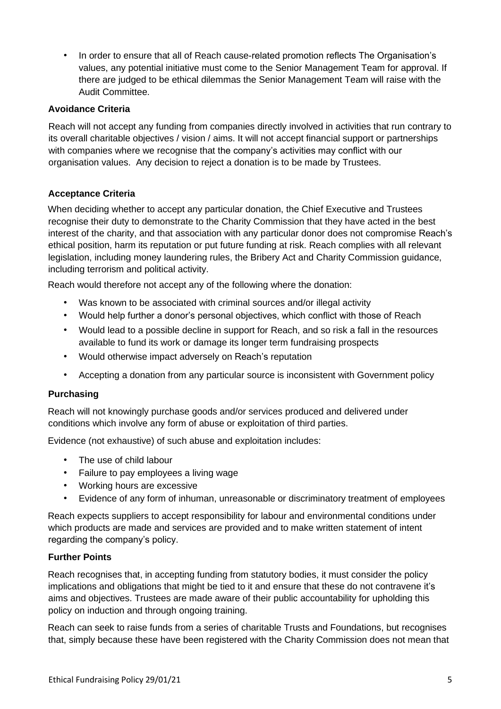• In order to ensure that all of Reach cause-related promotion reflects The Organisation's values, any potential initiative must come to the Senior Management Team for approval. If there are judged to be ethical dilemmas the Senior Management Team will raise with the Audit Committee.

## **Avoidance Criteria**

Reach will not accept any funding from companies directly involved in activities that run contrary to its overall charitable objectives / vision / aims. It will not accept financial support or partnerships with companies where we recognise that the company's activities may conflict with our organisation values. Any decision to reject a donation is to be made by Trustees.

## **Acceptance Criteria**

When deciding whether to accept any particular donation, the Chief Executive and Trustees recognise their duty to demonstrate to the Charity Commission that they have acted in the best interest of the charity, and that association with any particular donor does not compromise Reach's ethical position, harm its reputation or put future funding at risk. Reach complies with all relevant legislation, including money laundering rules, the Bribery Act and Charity Commission guidance, including terrorism and political activity.

Reach would therefore not accept any of the following where the donation:

- Was known to be associated with criminal sources and/or illegal activity
- Would help further a donor's personal objectives, which conflict with those of Reach
- Would lead to a possible decline in support for Reach, and so risk a fall in the resources available to fund its work or damage its longer term fundraising prospects
- Would otherwise impact adversely on Reach's reputation
- Accepting a donation from any particular source is inconsistent with Government policy

## **Purchasing**

Reach will not knowingly purchase goods and/or services produced and delivered under conditions which involve any form of abuse or exploitation of third parties.

Evidence (not exhaustive) of such abuse and exploitation includes:

- The use of child labour
- Failure to pay employees a living wage
- Working hours are excessive
- Evidence of any form of inhuman, unreasonable or discriminatory treatment of employees

Reach expects suppliers to accept responsibility for labour and environmental conditions under which products are made and services are provided and to make written statement of intent regarding the company's policy.

#### **Further Points**

Reach recognises that, in accepting funding from statutory bodies, it must consider the policy implications and obligations that might be tied to it and ensure that these do not contravene it's aims and objectives. Trustees are made aware of their public accountability for upholding this policy on induction and through ongoing training.

Reach can seek to raise funds from a series of charitable Trusts and Foundations, but recognises that, simply because these have been registered with the Charity Commission does not mean that